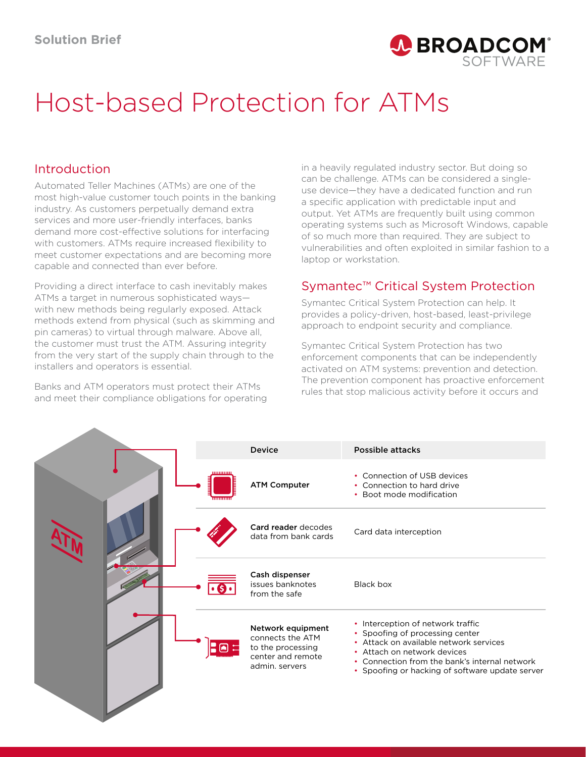

# Host-based Protection for ATMs

#### Introduction

Automated Teller Machines (ATMs) are one of the most high-value customer touch points in the banking industry. As customers perpetually demand extra services and more user-friendly interfaces, banks demand more cost-effective solutions for interfacing with customers. ATMs require increased flexibility to meet customer expectations and are becoming more capable and connected than ever before.

Providing a direct interface to cash inevitably makes ATMs a target in numerous sophisticated ways with new methods being regularly exposed. Attack methods extend from physical (such as skimming and pin cameras) to virtual through malware. Above all, the customer must trust the ATM. Assuring integrity from the very start of the supply chain through to the installers and operators is essential.

Banks and ATM operators must protect their ATMs and meet their compliance obligations for operating

**A** 

in a heavily regulated industry sector. But doing so can be challenge. ATMs can be considered a singleuse device—they have a dedicated function and run a specific application with predictable input and output. Yet ATMs are frequently built using common operating systems such as Microsoft Windows, capable of so much more than required. They are subject to vulnerabilities and often exploited in similar fashion to a laptop or workstation.

## Symantec™ Critical System Protection

Symantec Critical System Protection can help. It provides a policy-driven, host-based, least-privilege approach to endpoint security and compliance.

Symantec Critical System Protection has two enforcement components that can be independently activated on ATM systems: prevention and detection. The prevention component has proactive enforcement rules that stop malicious activity before it occurs and

|  |     | <b>Device</b>                                                                                     | Possible attacks                                                                                                                                                                                                                                  |
|--|-----|---------------------------------------------------------------------------------------------------|---------------------------------------------------------------------------------------------------------------------------------------------------------------------------------------------------------------------------------------------------|
|  |     | <b>ATM Computer</b>                                                                               | • Connection of USB devices<br>• Connection to hard drive<br>• Boot mode modification                                                                                                                                                             |
|  |     | Card reader decodes<br>data from bank cards                                                       | Card data interception                                                                                                                                                                                                                            |
|  |     | Cash dispenser<br>issues banknotes<br>from the safe                                               | Black box                                                                                                                                                                                                                                         |
|  | ſмI | Network equipment<br>connects the ATM<br>to the processing<br>center and remote<br>admin, servers | • Interception of network traffic<br>• Spoofing of processing center<br>• Attack on available network services<br>• Attach on network devices<br>• Connection from the bank's internal network<br>• Spoofing or hacking of software update server |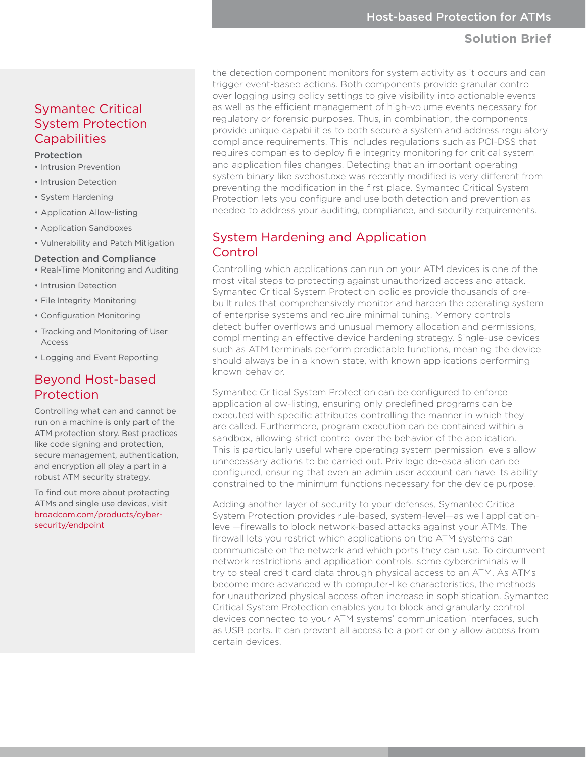#### **Solution Brief**

Symantec Critical System Protection **Capabilities** 

#### Protection

- Intrusion Prevention
- Intrusion Detection
- System Hardening
- Application Allow-listing
- Application Sandboxes
- Vulnerability and Patch Mitigation

#### Detection and Compliance

- Real-Time Monitoring and Auditing
- Intrusion Detection
- File Integrity Monitoring
- Configuration Monitoring
- Tracking and Monitoring of User Access
- Logging and Event Reporting

#### Beyond Host-based Protection

Controlling what can and cannot be run on a machine is only part of the ATM protection story. Best practices like code signing and protection, secure management, authentication, and encryption all play a part in a robust ATM security strategy.

To find out more about protecting ATMs and single use devices, visit [broadcom.com/products/cyber](https://www.broadcom.com/products/cyber-security/endpoint)[security/endpoint](https://www.broadcom.com/products/cyber-security/endpoint)

the detection component monitors for system activity as it occurs and can trigger event-based actions. Both components provide granular control over logging using policy settings to give visibility into actionable events as well as the efficient management of high-volume events necessary for regulatory or forensic purposes. Thus, in combination, the components provide unique capabilities to both secure a system and address regulatory compliance requirements. This includes regulations such as PCI-DSS that requires companies to deploy file integrity monitoring for critical system and application files changes. Detecting that an important operating system binary like svchost.exe was recently modified is very different from preventing the modification in the first place. Symantec Critical System Protection lets you configure and use both detection and prevention as needed to address your auditing, compliance, and security requirements.

#### System Hardening and Application Control

Controlling which applications can run on your ATM devices is one of the most vital steps to protecting against unauthorized access and attack. Symantec Critical System Protection policies provide thousands of prebuilt rules that comprehensively monitor and harden the operating system of enterprise systems and require minimal tuning. Memory controls detect buffer overflows and unusual memory allocation and permissions, complimenting an effective device hardening strategy. Single-use devices such as ATM terminals perform predictable functions, meaning the device should always be in a known state, with known applications performing known behavior.

Symantec Critical System Protection can be configured to enforce application allow-listing, ensuring only predefined programs can be executed with specific attributes controlling the manner in which they are called. Furthermore, program execution can be contained within a sandbox, allowing strict control over the behavior of the application. This is particularly useful where operating system permission levels allow unnecessary actions to be carried out. Privilege de-escalation can be configured, ensuring that even an admin user account can have its ability constrained to the minimum functions necessary for the device purpose.

Adding another layer of security to your defenses, Symantec Critical System Protection provides rule-based, system-level—as well applicationlevel—firewalls to block network-based attacks against your ATMs. The firewall lets you restrict which applications on the ATM systems can communicate on the network and which ports they can use. To circumvent network restrictions and application controls, some cybercriminals will try to steal credit card data through physical access to an ATM. As ATMs become more advanced with computer-like characteristics, the methods for unauthorized physical access often increase in sophistication. Symantec Critical System Protection enables you to block and granularly control devices connected to your ATM systems' communication interfaces, such as USB ports. It can prevent all access to a port or only allow access from certain devices.